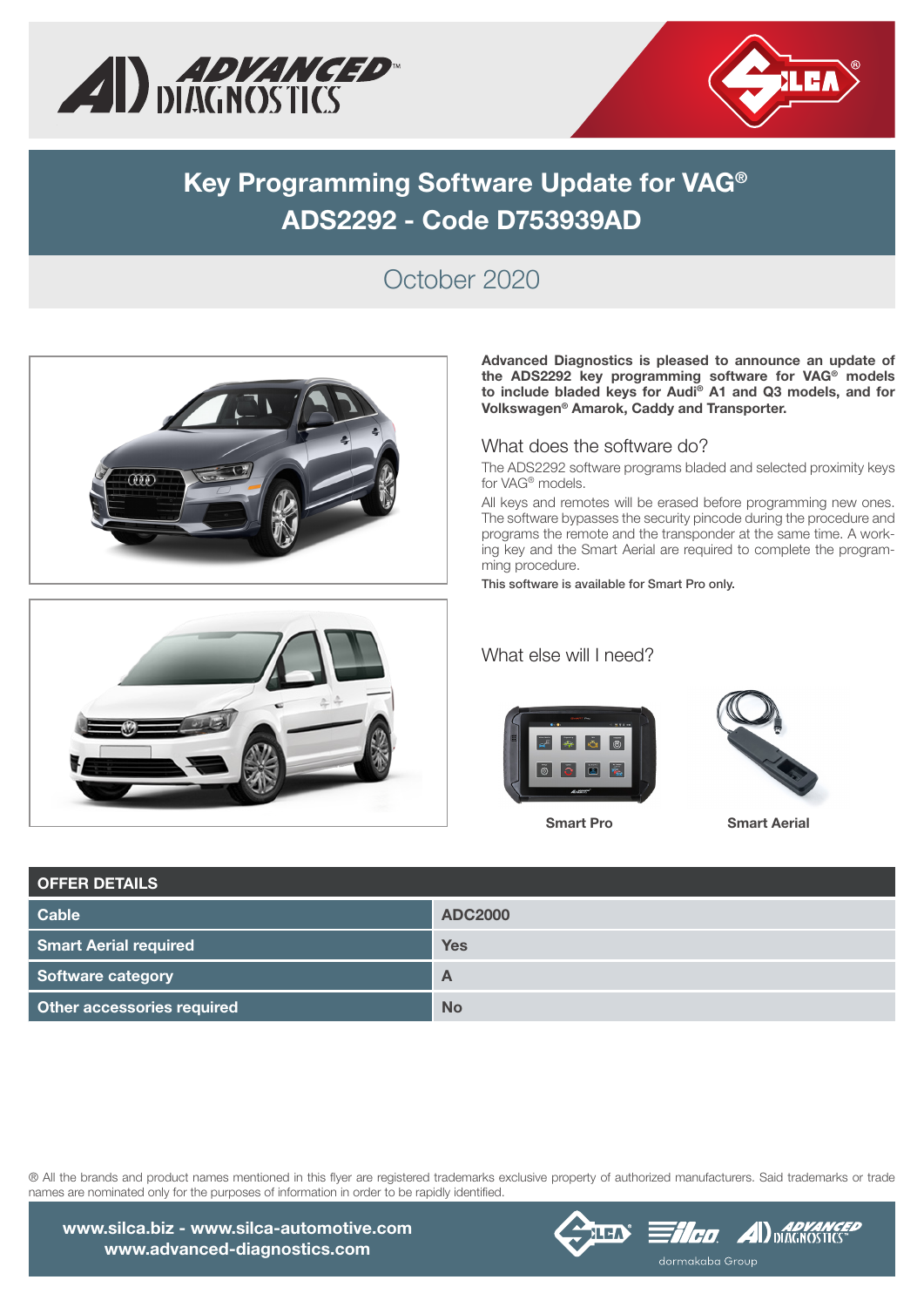



# **Key Programming Software Update for VAG® ADS2292 - Code D753939AD**

### October 2020





Advanced Diagnostics is pleased to announce an update of the ADS2292 key programming software for VAG® models to include bladed keys for Audi**®** A1 and Q3 models, and for Volkswagen**®** Amarok, Caddy and Transporter.

#### What does the software do?

The ADS2292 software programs bladed and selected proximity keys for VAG® models.

All keys and remotes will be erased before programming new ones. The software bypasses the security pincode during the procedure and programs the remote and the transponder at the same time. A working key and the Smart Aerial are required to complete the programming procedure.

This software is available for Smart Pro only.

#### What else will I need?





Smart Pro Smart Aerial

| <b>OFFER DETAILS</b>         |                |
|------------------------------|----------------|
| <b>Cable</b>                 | <b>ADC2000</b> |
| <b>Smart Aerial required</b> | <b>Yes</b>     |
| Software category            | $\mathsf{A}$   |
| Other accessories required   | <b>No</b>      |

® All the brands and product names mentioned in this flyer are registered trademarks exclusive property of authorized manufacturers. Said trademarks or trade names are nominated only for the purposes of information in order to be rapidly identified.



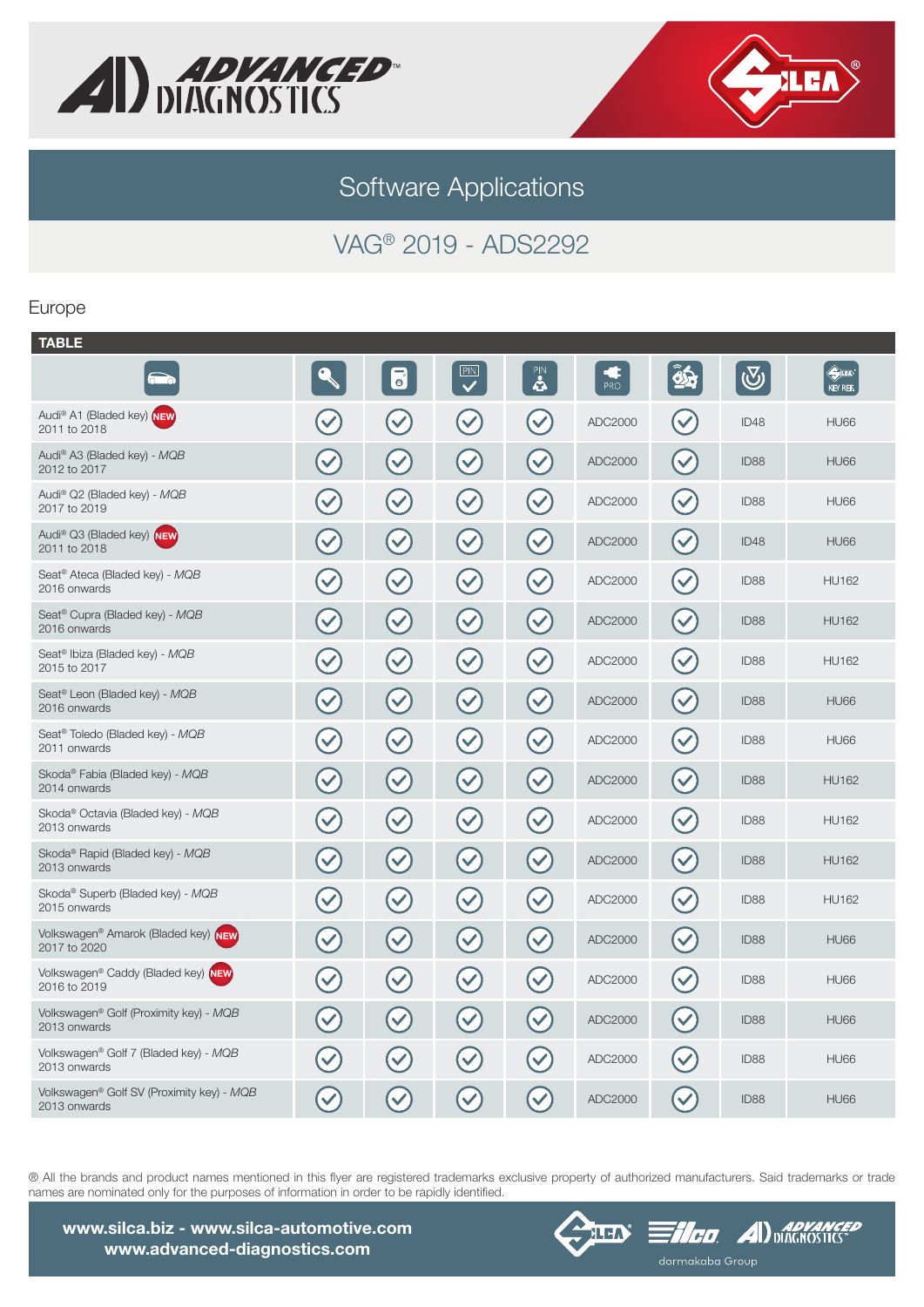



Software Applications

## VAG® 2019 - ADS2292

#### Europe

| <b>TABLE</b>                                                  |                      |                                   |                           |                      |          |                                                         |                  |                                  |
|---------------------------------------------------------------|----------------------|-----------------------------------|---------------------------|----------------------|----------|---------------------------------------------------------|------------------|----------------------------------|
|                                                               |                      | $\overline{\mathbf{e}}$           | PIN<br>$\checkmark$       | PIN<br>4             | ¢<br>PRO | $\mathbf{\hat{\mathbf{\Phi}}}\mathbf{\hat{\mathbf{h}}}$ | $\bigcirc$       | $\Leftrightarrow$ in<br>KEY REF. |
| Audi <sup>®</sup> A1 (Bladed key) NEW<br>2011 to 2018         |                      | $\blacktriangledown$              | $\blacktriangledown$      | $\blacktriangledown$ | ADC2000  |                                                         | ID48             | <b>HU66</b>                      |
| Audi® A3 (Bladed key) - MQB<br>2012 to 2017                   | $\blacktriangledown$ | $\blacktriangledown$              | $\left(\checkmark\right)$ | $\blacktriangledown$ | ADC2000  | $\checkmark$                                            | ID88             | <b>HU66</b>                      |
| Audi® Q2 (Bladed key) - MQB<br>2017 to 2019                   | $\blacktriangledown$ | $\left(\blacktriangledown\right)$ | $\blacktriangledown$      | $\blacktriangledown$ | ADC2000  | $\checkmark$                                            | ID <sub>88</sub> | <b>HU66</b>                      |
| Audi® Q3 (Bladed key) NEW<br>2011 to 2018                     | $\blacktriangledown$ | $\blacktriangledown$              | $\left(\checkmark\right)$ | $\blacktriangledown$ | ADC2000  | $\blacktriangledown$                                    | ID48             | <b>HU66</b>                      |
| Seat <sup>®</sup> Ateca (Bladed key) - MQB<br>2016 onwards    | $\blacktriangledown$ | $\left(\blacktriangledown\right)$ | $(\checkmark)$            | $\mathcal{C}$        | ADC2000  | $\blacktriangledown$                                    | ID88             | <b>HU162</b>                     |
| Seat <sup>®</sup> Cupra (Bladed key) - MQB<br>2016 onwards    | $\blacktriangledown$ | $\blacktriangledown$              | $\blacktriangledown$      | $\blacktriangledown$ | ADC2000  | $\blacktriangledown$                                    | ID88             | <b>HU162</b>                     |
| Seat <sup>®</sup> Ibiza (Bladed key) - MQB<br>2015 to 2017    | $\blacktriangledown$ | $\blacktriangledown$              | $\left(\checkmark\right)$ | $\checkmark$         | ADC2000  | $\blacktriangledown$                                    | ID88             | <b>HU162</b>                     |
| Seat <sup>®</sup> Leon (Bladed key) - MQB<br>2016 onwards     | $\blacktriangledown$ | $\blacktriangledown$              | $\blacktriangledown$      | $\blacktriangledown$ | ADC2000  | $\blacktriangledown$                                    | ID88             | <b>HU66</b>                      |
| Seat <sup>®</sup> Toledo (Bladed key) - MQB<br>2011 onwards   | $\blacktriangledown$ | $\blacktriangledown$              | $\blacktriangledown$      | $\blacktriangledown$ | ADC2000  | $\checkmark$                                            | ID <sub>88</sub> | <b>HU66</b>                      |
| Skoda® Fabia (Bladed key) - MQB<br>2014 onwards               | $\blacktriangledown$ | $\blacktriangledown$              | $\blacktriangledown$      | $\blacktriangledown$ | ADC2000  | $\checkmark$                                            | ID88             | <b>HU162</b>                     |
| Skoda <sup>®</sup> Octavia (Bladed key) - MQB<br>2013 onwards | $\blacktriangledown$ | $\blacktriangledown$              | $\blacktriangledown$      | $\blacktriangledown$ | ADC2000  |                                                         | ID88             | <b>HU162</b>                     |
| Skoda <sup>®</sup> Rapid (Bladed key) - MQB<br>2013 onwards   | $\bigvee$            | $\left(\checkmark\right)$         | $\blacktriangledown$      | $\checkmark$         | ADC2000  | $\blacktriangledown$                                    | ID88             | <b>HU162</b>                     |
| Skoda <sup>®</sup> Superb (Bladed key) - MQB<br>2015 onwards  | $\blacktriangledown$ | $\blacktriangledown$              | $\blacktriangledown$      | $\blacktriangledown$ | ADC2000  | $\checkmark$                                            | ID88             | <b>HU162</b>                     |
| Volkswagen® Amarok (Bladed key) NEW<br>2017 to 2020           | $\blacktriangledown$ | $\sim$                            | $\blacktriangledown$      | $\checkmark$         | ADC2000  | $\blacktriangledown$                                    | ID88             | <b>HU66</b>                      |
| Volkswagen® Caddy (Bladed key) NEW<br>2016 to 2019            | $\blacktriangledown$ | $\blacktriangledown$              | $\blacktriangledown$      | $\blacktriangledown$ | ADC2000  | $\blacktriangledown$                                    | ID88             | <b>HU66</b>                      |
| Volkswagen® Golf (Proximity key) - MQB<br>2013 onwards        | $\blacktriangledown$ | $\blacktriangledown$              | $\blacktriangledown$      | $\blacktriangledown$ | ADC2000  | $\blacktriangledown$                                    | ID88             | <b>HU66</b>                      |
| Volkswagen® Golf 7 (Bladed key) - MQB<br>2013 onwards         |                      | $\blacktriangledown$              | $\checkmark$              | $\checkmark$         | ADC2000  | $\checkmark$                                            | ID88             | <b>HU66</b>                      |
| Volkswagen® Golf SV (Proximity key) - MQB<br>2013 onwards     | $\checkmark$         | $\checkmark$                      | $\checkmark$              | $\checkmark$         | ADC2000  | $\blacktriangledown$                                    | ID88             | <b>HU66</b>                      |
|                                                               |                      |                                   |                           |                      |          |                                                         |                  |                                  |

® All the brands and product names mentioned in this flyer are registered trademarks exclusive property of authorized manufacturers. Said trademarks or trade names are nominated only for the purposes of information in order to be rapidly identified.





 $\equiv$ *1.00* **A**  $\sum_{\text{DIACINCS IICS}}$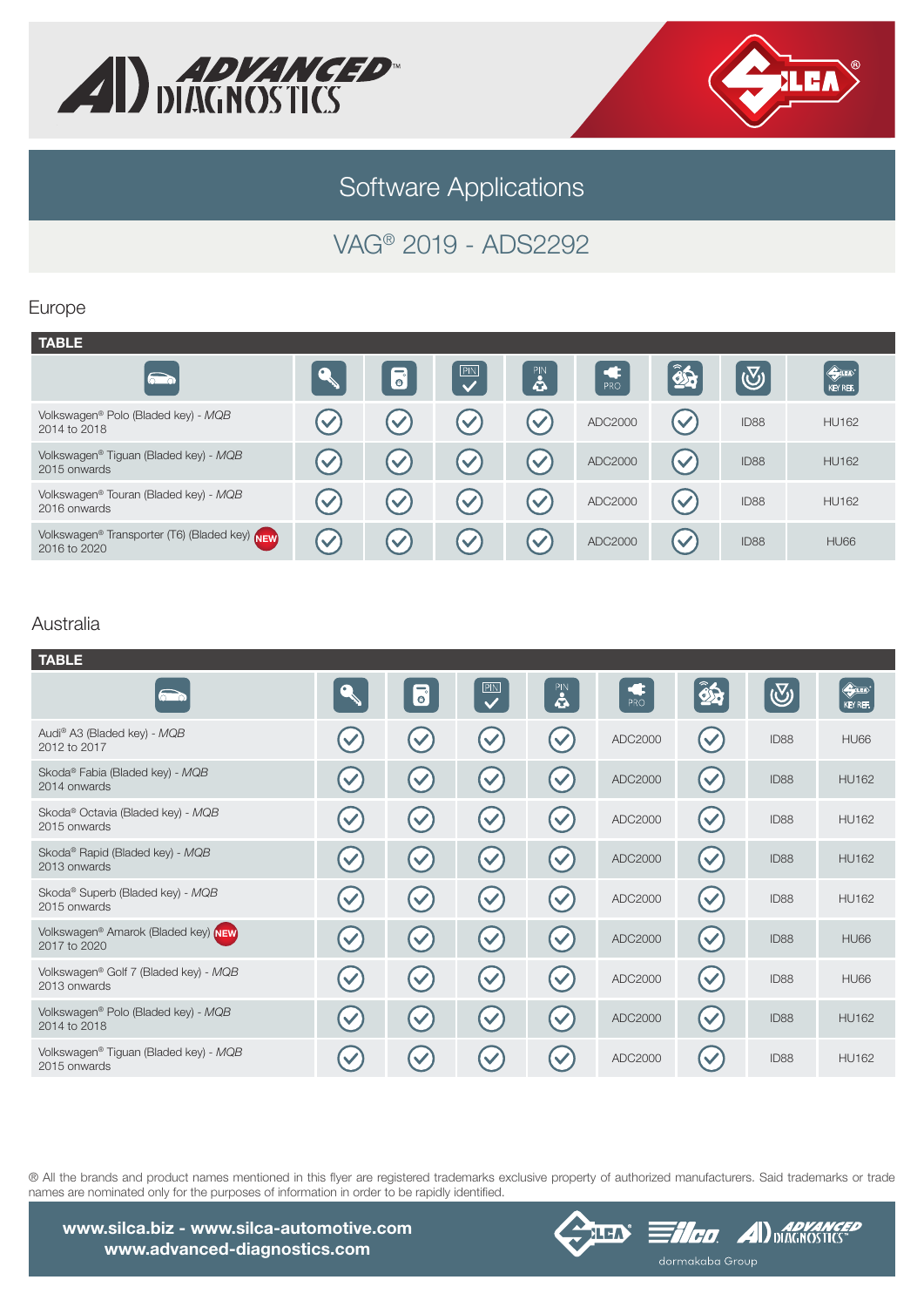



# Software Applications

## VAG® 2019 - ADS2292

### Europe

| <b>TABLE</b>                                                  |                      |                          |                          |                        |         |                      |                  |                            |
|---------------------------------------------------------------|----------------------|--------------------------|--------------------------|------------------------|---------|----------------------|------------------|----------------------------|
| $\qquad \qquad \Longleftrightarrow$                           |                      | $\overline{\bullet}$     | PIN<br>$\checkmark$      | PIN<br>4               | PRO     | 35                   | $ \mathbb{Q} $   | <b>Example</b><br>REY REF. |
| Volkswagen® Polo (Bladed key) - MQB<br>2014 to 2018           |                      | $\left( \bigvee \right)$ | $\left( \bigvee \right)$ | $\blacktriangledown$   | ADC2000 | $\blacktriangledown$ | ID88             | <b>HU162</b>               |
| Volkswagen® Tiguan (Bladed key) - MQB<br>2015 onwards         |                      | $\blacktriangledown$     | $\left( \bigvee \right)$ | $\left(\bigvee\right)$ | ADC2000 | $\checkmark$         | ID88             | <b>HU162</b>               |
| Volkswagen® Touran (Bladed key) - MQB<br>2016 onwards         | $\checkmark$         | $\left(\bigvee\right)$   | $\left( \bigvee \right)$ | $\blacktriangledown$   | ADC2000 | $\blacktriangledown$ | ID88             | <b>HU162</b>               |
| Volkswagen® Transporter (T6) (Bladed key) NEW<br>2016 to 2020 | $\blacktriangledown$ | $\left( \bigvee \right)$ | $\left( \bigvee \right)$ | $\blacktriangledown$   | ADC2000 | $\checkmark$         | ID <sub>88</sub> | <b>HU66</b>                |

### Australia

| <b>TABLE</b>                                                  |              |                         |                         |                      |         |                      |            |              |
|---------------------------------------------------------------|--------------|-------------------------|-------------------------|----------------------|---------|----------------------|------------|--------------|
| $\bigcap$                                                     |              | $\overline{\mathbf{e}}$ | $\overline{\mathbf{C}}$ | PIN<br>4             | PRO     | $\hat{\mathbf{z}}$   | $\bigcirc$ | KEY REF.     |
| Audi® A3 (Bladed key) - MQB<br>2012 to 2017                   |              |                         | $\checkmark$            | $\checkmark$         | ADC2000 | $\checkmark$         | ID88       | <b>HU66</b>  |
| Skoda® Fabia (Bladed key) - MQB<br>2014 onwards               |              |                         |                         |                      | ADC2000 | $\checkmark$         | ID88       | <b>HU162</b> |
| Skoda <sup>®</sup> Octavia (Bladed key) - MQB<br>2015 onwards |              | $\checkmark$            | $\checkmark$            | $\checkmark$         | ADC2000 | $\checkmark$         | ID88       | <b>HU162</b> |
| Skoda <sup>®</sup> Rapid (Bladed key) - MQB<br>2013 onwards   |              |                         | $\blacktriangledown$    |                      | ADC2000 | $\checkmark$         | ID88       | <b>HU162</b> |
| Skoda® Superb (Bladed key) - MQB<br>2015 onwards              |              | $\checkmark$            | $\blacktriangledown$    | $\checkmark$         | ADC2000 | $\blacktriangledown$ | ID88       | <b>HU162</b> |
| Volkswagen® Amarok (Bladed key) NEW<br>2017 to 2020           |              |                         | $\blacktriangledown$    | $\checkmark$         | ADC2000 | $\blacktriangledown$ | ID88       | <b>HU66</b>  |
| Volkswagen® Golf 7 (Bladed key) - MQB<br>2013 onwards         | $\checkmark$ | $\blacktriangledown$    | $\blacktriangledown$    | $\blacktriangledown$ | ADC2000 | $\blacktriangledown$ | ID88       | <b>HU66</b>  |
| Volkswagen® Polo (Bladed key) - MQB<br>2014 to 2018           |              | $\blacktriangledown$    | $\blacktriangledown$    | $\checkmark$         | ADC2000 | $\blacktriangledown$ | ID88       | <b>HU162</b> |
| Volkswagen® Tiguan (Bladed key) - MQB<br>2015 onwards         |              |                         |                         |                      | ADC2000 |                      | ID88       | <b>HU162</b> |

® All the brands and product names mentioned in this flyer are registered trademarks exclusive property of authorized manufacturers. Said trademarks or trade names are nominated only for the purposes of information in order to be rapidly identified.